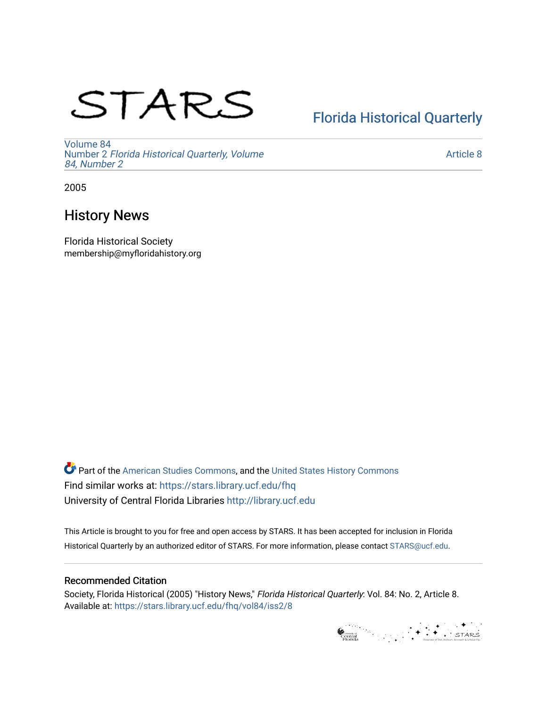# STARS

# [Florida Historical Quarterly](https://stars.library.ucf.edu/fhq)

[Volume 84](https://stars.library.ucf.edu/fhq/vol84) Number 2 [Florida Historical Quarterly, Volume](https://stars.library.ucf.edu/fhq/vol84/iss2)  [84, Number 2](https://stars.library.ucf.edu/fhq/vol84/iss2)

[Article 8](https://stars.library.ucf.edu/fhq/vol84/iss2/8) 

2005

# History News

Florida Historical Society membership@myfloridahistory.org

**C** Part of the [American Studies Commons](http://network.bepress.com/hgg/discipline/439?utm_source=stars.library.ucf.edu%2Ffhq%2Fvol84%2Fiss2%2F8&utm_medium=PDF&utm_campaign=PDFCoverPages), and the United States History Commons Find similar works at: <https://stars.library.ucf.edu/fhq> University of Central Florida Libraries [http://library.ucf.edu](http://library.ucf.edu/) 

This Article is brought to you for free and open access by STARS. It has been accepted for inclusion in Florida Historical Quarterly by an authorized editor of STARS. For more information, please contact [STARS@ucf.edu.](mailto:STARS@ucf.edu)

## Recommended Citation

Society, Florida Historical (2005) "History News," Florida Historical Quarterly: Vol. 84: No. 2, Article 8. Available at: [https://stars.library.ucf.edu/fhq/vol84/iss2/8](https://stars.library.ucf.edu/fhq/vol84/iss2/8?utm_source=stars.library.ucf.edu%2Ffhq%2Fvol84%2Fiss2%2F8&utm_medium=PDF&utm_campaign=PDFCoverPages) 

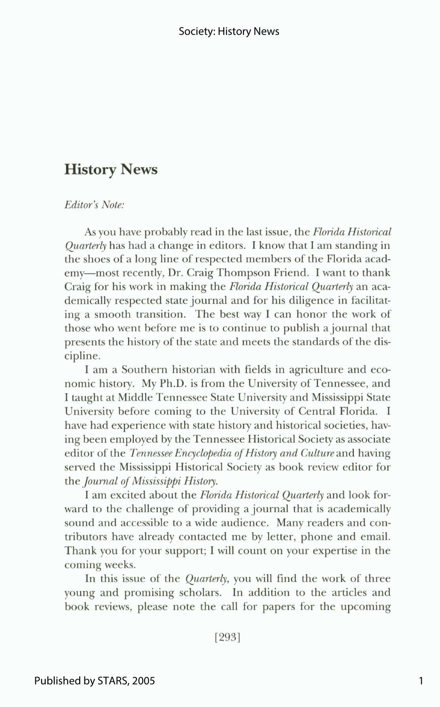# **History News**

#### *Editor's Note:*

As you have probably read in the last issue, the *Florida Historical Quarter4* has had a change in editors. I know that I am standing in the shoes of a long line of respected members of the Florida academy-most recently, Dr. Craig Thompson Friend. I want to thank Craig for his work in making the *Flon'da Historical Quarterly* an academically respected state journal and for his diligence in facilitating a smooth transition. The best way I can honor the work of those who went before me is to continue to publish a journal that presents the history of the state and meets the standards of the discipline.

I am a Southern historian with fields in agriculture and economic history. My Ph.D. is from the University of Tennessee, and I taught at Middle Tennessee State University and Mississippi State University before coming to the University of Central Florida. I have had experience with state history and historical societies, having been employed by the Tennessee Historical Society as associate editor of the *Tennessee Encyclopedia of History and Culture* and having served the Mississippi Historical Society as book review editor for the *Journal of Mississippi History*.

I am excited about the *Florida Historical Quarterly* and look forward to the challenge of providing a journal that is academically sound and accessible to a wide audience. Many readers and contributors have already contacted me by letter, phone and email. Thank you for your support; I will count on your expertise in the coming weeks.

In this issue of the *Quarterly,* you will find the work of three young and promising scholars. In addition to the articles and book reviews, please note the call for papers for the upcoming

 $[293]$